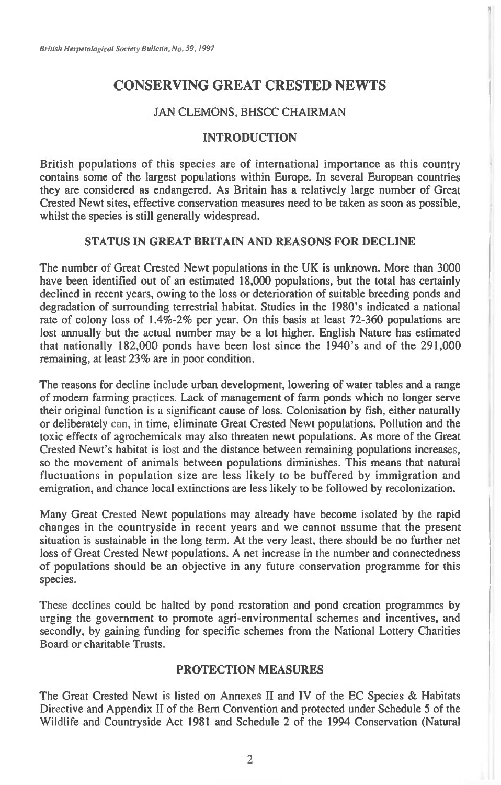# **CONSERVING GREAT CRESTED NEWTS**

# JAN CLEMONS, BHSCC CHAIRMAN

# **INTRODUCTION**

British populations of this species are of international importance as this country contains some of the largest populations within Europe. In several European countries they are considered as endangered. As Britain has a relatively large number of Great Crested Newt sites, effective conservation measures need to be taken as soon as possible, whilst the species is still generally widespread.

# **STATUS IN GREAT BRITAIN AND REASONS FOR DECLINE**

The number of Great Crested Newt populations in the UK is unknown. More than 3000 have been identified out of an estimated 18,000 populations, but the total has certainly declined in recent years, owing to the loss or deterioration of suitable breeding ponds and degradation of surrounding terrestrial habitat. Studies in the 1980's indicated a national rate of colony loss of 1.4%-2% per year. On this basis at least 72-360 populations are lost annually but the actual number may be a lot higher. English Nature has estimated that nationally 182,000 ponds have been lost since the 1940's and of the 291,000 remaining, at least 23% are in poor condition.

The reasons for decline include urban development, lowering of water tables and a range of modem farming practices. Lack of management of farm ponds which no longer serve their original function is a significant cause of loss. Colonisation by fish, either naturally or deliberately can, in time, eliminate Great Crested Newt populations. Pollution and the toxic effects of agrochemicals may also threaten newt populations. As more of the Great Crested Newt's habitat is lost and the distance between remaining populations increases, so the movement of animals between populations diminishes. This means that natural fluctuations in population size are less likely to be buffered by immigration and emigration, and chance local extinctions are less likely to be followed by recolonization.

Many Great Crested Newt populations may already have become isolated by the rapid changes in the countryside in recent years and we cannot assume that the present situation is sustainable in the long term. At the very least, there should be no further net loss of Great Crested Newt populations. A net increase in the number and connectedness of populations should be an objective in any future conservation programme for this species.

These declines could be halted by pond restoration and pond creation programmes by urging the government to promote agri-environmental schemes and incentives, and secondly, by gaining funding for specific schemes from the National Lottery Charities Board or charitable Trusts.

# **PROTECTION MEASURES**

The Great Crested Newt is listed on Annexes H and IV of the EC Species & Habitats Directive and Appendix II of the Bern Convention and protected under Schedule 5 of the Wildlife and Countryside Act 1981 and Schedule 2 of the 1994 Conservation (Natural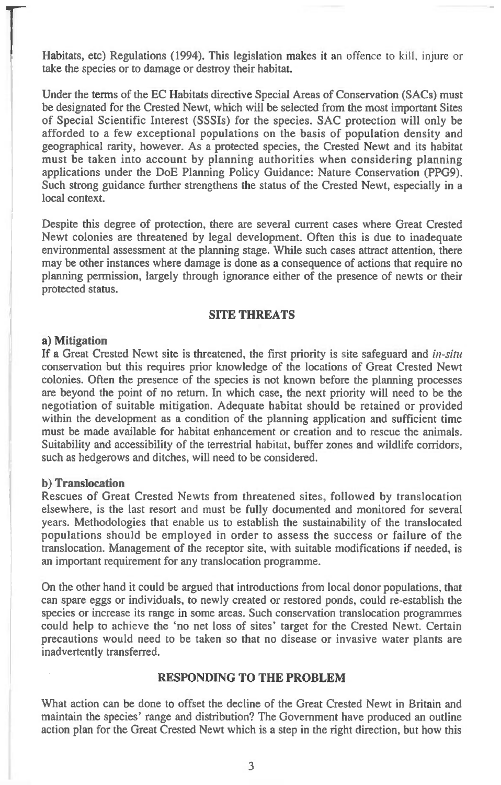Habitats, etc) Regulations (1994). This legislation makes it an offence to kill, injure or take the species or to damage or destroy their habitat.

Under the terms of the EC Habitats directive Special Areas of Conservation (SACs) must be designated for the Crested Newt, which will be selected from the most important Sites of Special Scientific Interest (SSSIs) for the species. SAC protection will only be afforded to a few exceptional populations on the basis of population density and geographical rarity, however. As a protected species, the Crested Newt and its habitat must be taken into account by planning authorities when considering planning applications under the DoE Planning Policy Guidance: Nature Conservation (PPG9). Such strong guidance further strengthens the status of the Crested Newt, especially in a local context.

Despite this degree of protection, there are several current cases where Great Crested Newt colonies are threatened by legal development. Often this is due to inadequate environmental assessment at the planning stage. While such cases attract attention, there may be other instances where damage is done as a consequence of actions that require no planning permission, largely through ignorance either of the presence of newts or their protected status.

### **SITE THREATS**

#### **a) Mitigation**

If a Great Crested Newt site is threatened, the first priority is site safeguard and *in-situ*  conservation but this requires prior knowledge of the locations of Great Crested Newt colonies. Often the presence of the species is not known before the planning processes are beyond the point of no return. In which case, the next priority will need to be the negotiation of suitable mitigation. Adequate habitat should be retained or provided within the development as a condition of the planning application and sufficient time must be made available for habitat enhancement or creation and to rescue the animals. Suitability and accessibility of the terrestrial habitat, buffer zones and wildlife corridors, such as hedgerows and ditches, will need to be considered.

### **b) Translocation**

Rescues of Great Crested Newts from threatened sites, followed by translocation elsewhere, is the last resort and must be fully documented and monitored for several years. Methodologies that enable us to establish the sustainability of the translocated populations should be employed in order to assess the success or failure of the translocation. Management of the receptor site, with suitable modifications if needed, is an important requirement for any translocation programme.

On the other hand it could be argued that introductions from local donor populations, that can spare eggs or individuals, to newly created or restored ponds, could re-establish the species or increase its range in some areas. Such conservation translocation programmes could help to achieve the 'no net loss of sites' target for the Crested Newt. Certain precautions would need to be taken so that no disease or invasive water plants are inadvertently transferred.

### **RESPONDING TO THE PROBLEM**

What action can be done to offset the decline of the Great Crested Newt in Britain and maintain the species' range and distribution? The Government have produced an outline action plan for the Great Crested Newt which is a step in the right direction, but how this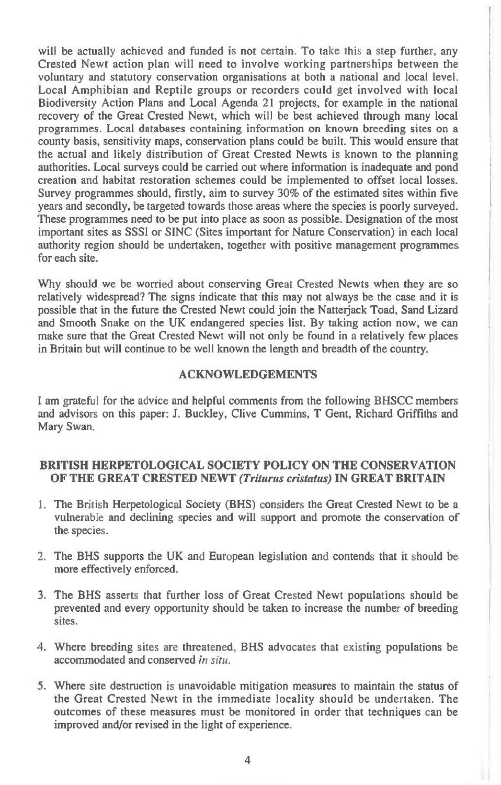will be actually achieved and funded is not certain. To take this a step further, any Crested Newt action plan will need to involve working partnerships between the voluntary and statutory conservation organisations at both a national and local level. Local Amphibian and Reptile groups or recorders could get involved with local Biodiversity Action Plans and Local Agenda 21 projects, for example in the national recovery of the Great Crested Newt, which will be best achieved through many local programmes. Local databases containing information on known breeding sites on a county basis, sensitivity maps, conservation plans could be built. This would ensure that the actual and likely distribution of Great Crested Newts is known to the planning authorities. Local surveys could be carried out where information is inadequate and pond creation and habitat restoration schemes could be implemented to offset local losses. Survey programmes should, firstly, aim to survey 30% of the estimated sites within five years and secondly, be targeted towards those areas where the species is poorly surveyed. These programmes need to be put into place as soon as possible. Designation of the most important sites as SSSI or SINC (Sites important for Nature Conservation) in each local authority region should be undertaken, together with positive management programmes for each site.

Why should we be worried about conserving Great Crested Newts when they are so relatively widespread? The signs indicate that this may not always be the case and it is possible that in the future the Crested Newt could join the Natterjack Toad, Sand Lizard and Smooth Snake on the UK endangered species list. By taking action now, we can make sure that the Great Crested Newt will not only be found in a relatively few places in Britain but will continue to be well known the length and breadth of the country.

# **ACKNOWLEDGEMENTS**

I am grateful for the advice and helpful comments from the following BHSCC members and advisors on this paper: J. Buckley, Clive Cummins, T Gent, Richard Griffiths and Mary Swan.

### **BRITISH HERPETOLOGICAL SOCIETY POLICY ON THE CONSERVATION OF THE GREAT CRESTED NEWT** *(Triturus cristatus)* **IN GREAT BRITAIN**

- 1. The British Herpetological Society (BHS) considers the Great Crested Newt to be a vulnerable and declining species and will support and promote the conservation of the species.
- 2. The BHS supports the UK and European legislation and contends that it should be more effectively enforced.
- 3 The BHS asserts that further loss of Great Crested Newt populations should be prevented and every opportunity should be taken to increase the number of breeding sites.
- 4. Where breeding sites are threatened, BHS advocates that existing populations be accommodated and conserved *in situ.*
- 5. Where site destruction is unavoidable mitigation measures to maintain the status of the Great Crested Newt in the immediate locality should be undertaken. The outcomes of these measures must be monitored in order that techniques can be improved and/or revised in the light of experience.